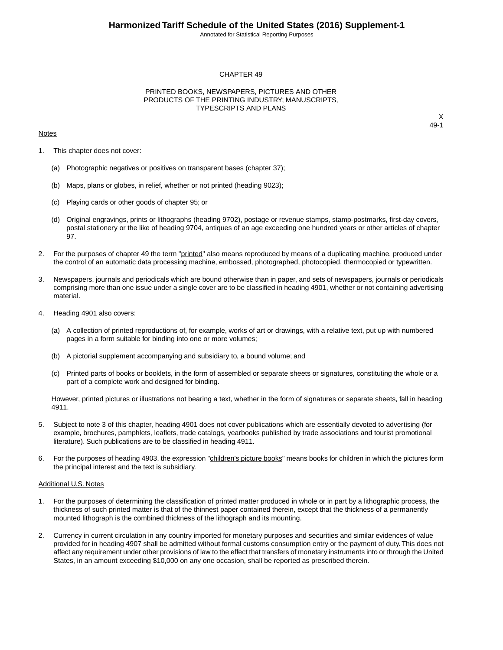Annotated for Statistical Reporting Purposes

#### CHAPTER 49

### PRINTED BOOKS, NEWSPAPERS, PICTURES AND OTHER PRODUCTS OF THE PRINTING INDUSTRY; MANUSCRIPTS, TYPESCRIPTS AND PLANS

#### **Notes**

X 49-1

- 1. This chapter does not cover:
	- (a) Photographic negatives or positives on transparent bases (chapter 37);
	- (b) Maps, plans or globes, in relief, whether or not printed (heading 9023);
	- (c) Playing cards or other goods of chapter 95; or
	- (d) Original engravings, prints or lithographs (heading 9702), postage or revenue stamps, stamp-postmarks, first-day covers, postal stationery or the like of heading 9704, antiques of an age exceeding one hundred years or other articles of chapter 97.
- 2. For the purposes of chapter 49 the term "printed" also means reproduced by means of a duplicating machine, produced under the control of an automatic data processing machine, embossed, photographed, photocopied, thermocopied or typewritten.
- 3. Newspapers, journals and periodicals which are bound otherwise than in paper, and sets of newspapers, journals or periodicals comprising more than one issue under a single cover are to be classified in heading 4901, whether or not containing advertising material.
- 4. Heading 4901 also covers:
	- (a) A collection of printed reproductions of, for example, works of art or drawings, with a relative text, put up with numbered pages in a form suitable for binding into one or more volumes;
	- (b) A pictorial supplement accompanying and subsidiary to, a bound volume; and
	- (c) Printed parts of books or booklets, in the form of assembled or separate sheets or signatures, constituting the whole or a part of a complete work and designed for binding.

However, printed pictures or illustrations not bearing a text, whether in the form of signatures or separate sheets, fall in heading 4911.

- 5. Subject to note 3 of this chapter, heading 4901 does not cover publications which are essentially devoted to advertising (for example, brochures, pamphlets, leaflets, trade catalogs, yearbooks published by trade associations and tourist promotional literature). Such publications are to be classified in heading 4911.
- 6. For the purposes of heading 4903, the expression "children's picture books" means books for children in which the pictures form the principal interest and the text is subsidiary.

### Additional U.S. Notes

- 1. For the purposes of determining the classification of printed matter produced in whole or in part by a lithographic process, the thickness of such printed matter is that of the thinnest paper contained therein, except that the thickness of a permanently mounted lithograph is the combined thickness of the lithograph and its mounting.
- 2. Currency in current circulation in any country imported for monetary purposes and securities and similar evidences of value provided for in heading 4907 shall be admitted without formal customs consumption entry or the payment of duty. This does not affect any requirement under other provisions of law to the effect that transfers of monetary instruments into or through the United States, in an amount exceeding \$10,000 on any one occasion, shall be reported as prescribed therein.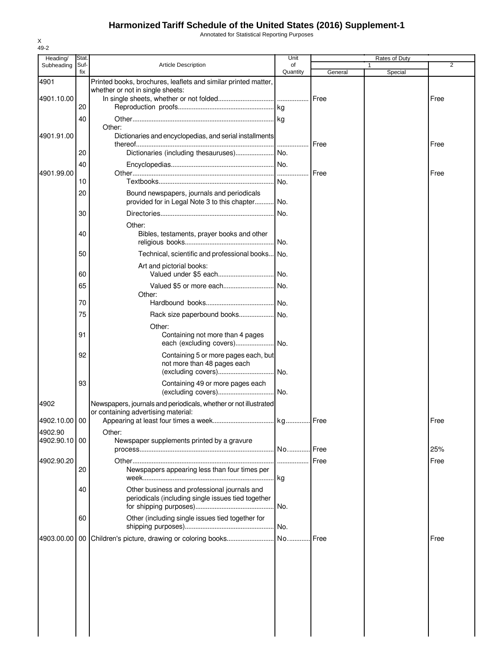## **Harmonized Tariff Schedule of the United States (2016) Supplement-1**

Annotated for Statistical Reporting Purposes

| Heading/                 | Stat.       |                                                                                                         | Unit           |             | Rates of Duty |                |
|--------------------------|-------------|---------------------------------------------------------------------------------------------------------|----------------|-------------|---------------|----------------|
| Subheading               | Suf-<br>fix | <b>Article Description</b>                                                                              | of<br>Quantity | General     | Special       | $\overline{2}$ |
| 4901                     |             | Printed books, brochures, leaflets and similar printed matter,                                          |                |             |               |                |
|                          |             | whether or not in single sheets:                                                                        |                |             |               |                |
| 4901.10.00               |             |                                                                                                         |                |             |               | Free           |
|                          | 20          |                                                                                                         |                |             |               |                |
|                          | 40          |                                                                                                         |                |             |               |                |
| 4901.91.00               |             | Other:<br>Dictionaries and encyclopedias, and serial installments                                       |                |             |               |                |
|                          |             |                                                                                                         |                | Free        |               | Free           |
|                          | 20          |                                                                                                         |                |             |               |                |
|                          | 40          |                                                                                                         |                |             |               |                |
| 4901.99.00               |             |                                                                                                         |                | <b>Free</b> |               | Free           |
|                          | 10          |                                                                                                         |                |             |               |                |
|                          | 20          | Bound newspapers, journals and periodicals<br>provided for in Legal Note 3 to this chapter No.          |                |             |               |                |
|                          | 30          |                                                                                                         |                |             |               |                |
|                          |             | Other:                                                                                                  |                |             |               |                |
|                          | 40          | Bibles, testaments, prayer books and other                                                              | .I No.         |             |               |                |
|                          | 50          | Technical, scientific and professional books No.                                                        |                |             |               |                |
|                          |             | Art and pictorial books:                                                                                |                |             |               |                |
|                          | 60          |                                                                                                         |                |             |               |                |
|                          | 65          |                                                                                                         |                |             |               |                |
|                          |             | Other:                                                                                                  |                |             |               |                |
|                          | 70          |                                                                                                         |                |             |               |                |
|                          | 75          | Rack size paperbound books No.                                                                          |                |             |               |                |
|                          | 91          | Other:<br>Containing not more than 4 pages                                                              |                |             |               |                |
|                          | 92          | Containing 5 or more pages each, but<br>not more than 48 pages each                                     |                |             |               |                |
|                          | 93          | Containing 49 or more pages each                                                                        |                |             |               |                |
| 4902                     |             | Newspapers, journals and periodicals, whether or not illustrated<br>or containing advertising material: |                |             |               |                |
| 4902.10.00 00            |             |                                                                                                         |                |             |               | Free           |
| 4902.90<br>4902.90.10 00 |             | Other:<br>Newspaper supplements printed by a gravure                                                    |                | Free        |               | 25%            |
| 4902.90.20               |             |                                                                                                         |                | Free        |               | Free           |
|                          | 20          | Newspapers appearing less than four times per                                                           |                |             |               |                |
|                          | 40          | Other business and professional journals and<br>periodicals (including single issues tied together      |                |             |               |                |
|                          | 60          | Other (including single issues tied together for                                                        |                |             |               |                |
| 4903.00.00               |             |                                                                                                         |                | <b>Free</b> |               | Free           |
|                          |             |                                                                                                         |                |             |               |                |

X 49-2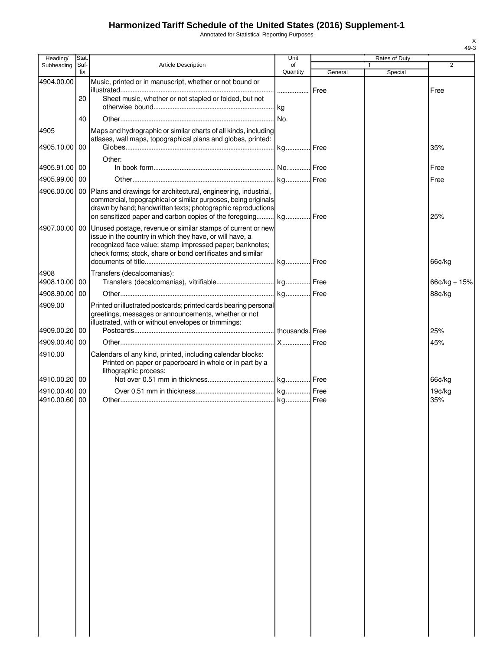# **Harmonized Tariff Schedule of the United States (2016) Supplement-1**

Annotated for Statistical Reporting Purposes

| Heading/                 | <b>Stat</b> |                                                                                                                                                                                                                                                                                      | Unit           |               | Rates of Duty |                          |
|--------------------------|-------------|--------------------------------------------------------------------------------------------------------------------------------------------------------------------------------------------------------------------------------------------------------------------------------------|----------------|---------------|---------------|--------------------------|
| Subheading               | Suf-<br>fix | <b>Article Description</b>                                                                                                                                                                                                                                                           | of<br>Quantity | General       | 1<br>Special  | 2                        |
| 4904.00.00               |             | Music, printed or in manuscript, whether or not bound or                                                                                                                                                                                                                             |                |               |               |                          |
|                          | 20          | Sheet music, whether or not stapled or folded, but not                                                                                                                                                                                                                               |                | <b>I</b> Free |               | Free                     |
|                          | 40          |                                                                                                                                                                                                                                                                                      |                |               |               |                          |
| 4905<br>4905.10.00 00    |             | Maps and hydrographic or similar charts of all kinds, including<br>atlases, wall maps, topographical plans and globes, printed:                                                                                                                                                      |                |               |               | 35%                      |
|                          |             | Other:                                                                                                                                                                                                                                                                               |                |               |               |                          |
| 4905.91.00 00            |             |                                                                                                                                                                                                                                                                                      |                |               |               | Free                     |
| 4905.99.00 00            |             |                                                                                                                                                                                                                                                                                      |                |               |               | Free                     |
|                          |             | 4906.00.00   00   Plans and drawings for architectural, engineering, industrial,<br>commercial, topographical or similar purposes, being originals<br>drawn by hand; handwritten texts; photographic reproductions<br>on sensitized paper and carbon copies of the foregoing kg Free |                |               |               | 25%                      |
|                          |             | 4907.00.00   00   Unused postage, revenue or similar stamps of current or new<br>issue in the country in which they have, or will have, a<br>recognized face value; stamp-impressed paper; banknotes;<br>check forms; stock, share or bond certificates and similar                  |                |               |               | 66¢/kg                   |
| 4908<br>4908.10.00 00    |             | Transfers (decalcomanias):                                                                                                                                                                                                                                                           |                |               |               |                          |
| 4908.90.00 00            |             |                                                                                                                                                                                                                                                                                      |                |               |               | $66¢/kg + 15%$<br>88¢/kg |
| 4909.00                  |             | Printed or illustrated postcards; printed cards bearing personal<br>greetings, messages or announcements, whether or not<br>illustrated, with or without envelopes or trimmings:                                                                                                     |                |               |               |                          |
| 4909.00.20 00            |             |                                                                                                                                                                                                                                                                                      |                |               |               | 25%                      |
| 4909.00.40               | 00          |                                                                                                                                                                                                                                                                                      |                |               |               | 45%                      |
| 4910.00                  |             | Calendars of any kind, printed, including calendar blocks:<br>Printed on paper or paperboard in whole or in part by a<br>lithographic process:                                                                                                                                       |                |               |               |                          |
| 4910.00.20 00            |             |                                                                                                                                                                                                                                                                                      |                |               |               | 66¢/kg                   |
| 4910.00.40<br>4910.00.60 | 00<br>00    |                                                                                                                                                                                                                                                                                      |                |               |               | 19¢/kg<br>35%            |
|                          |             |                                                                                                                                                                                                                                                                                      |                |               |               |                          |

X 49-3